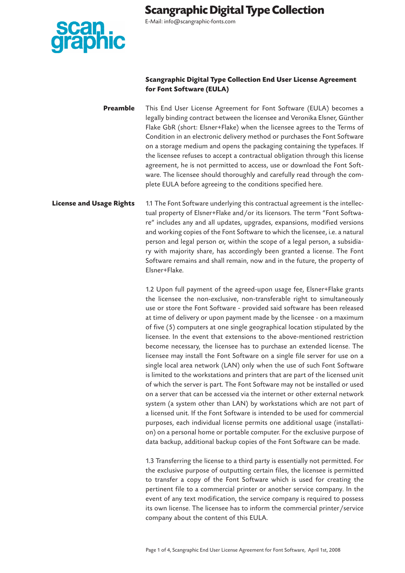

E-Mail: info@scangraphic-fonts.com

### **Scangraphic Digital Type Collection End User License Agreement for Font Software (EULA)**

**Preamble** This End User License Agreement for Font Software (EULA) becomes a legally binding contract between the licensee and Veronika Elsner, Günther Flake GbR (short: Elsner+Flake) when the licensee agrees to the Terms of Condition in an electronic delivery method or purchases the Font Software on a storage medium and opens the packaging containing the typefaces. If the licensee refuses to accept a contractual obligation through this license agreement, he is not permitted to access, use or download the Font Software. The licensee should thoroughly and carefully read through the complete EULA before agreeing to the conditions specified here.

**License and Usage Rights** 1.1 The Font Software underlying this contractual agreement is the intellectual property of Elsner+Flake and/or its licensors. The term "Font Software" includes any and all updates, upgrades, expansions, modified versions and working copies of the Font Software to which the licensee, i.e. a natural person and legal person or, within the scope of a legal person, a subsidiary with majority share, has accordingly been granted a license. The Font Software remains and shall remain, now and in the future, the property of Elsner+Flake.

> 1.2 Upon full payment of the agreed-upon usage fee, Elsner+Flake grants the licensee the non-exclusive, non-transferable right to simultaneously use or store the Font Software - provided said software has been released at time of delivery or upon payment made by the licensee - on a maximum of five (5) computers at one single geographical location stipulated by the licensee. In the event that extensions to the above-mentioned restriction become necessary, the licensee has to purchase an extended license. The licensee may install the Font Software on a single file server for use on a single local area network (LAN) only when the use of such Font Software is limited to the workstations and printers that are part of the licensed unit of which the server is part. The Font Software may not be installed or used on a server that can be accessed via the internet or other external network system (a system other than LAN) by workstations which are not part of a licensed unit. If the Font Software is intended to be used for commercial purposes, each individual license permits one additional usage (installation) on a personal home or portable computer. For the exclusive purpose of data backup, additional backup copies of the Font Software can be made.

> 1.3 Transferring the license to a third party is essentially not permitted. For the exclusive purpose of outputting certain files, the licensee is permitted to transfer a copy of the Font Software which is used for creating the pertinent file to a commercial printer or another service company. In the event of any text modification, the service company is required to possess its own license. The licensee has to inform the commercial printer/service company about the content of this EULA.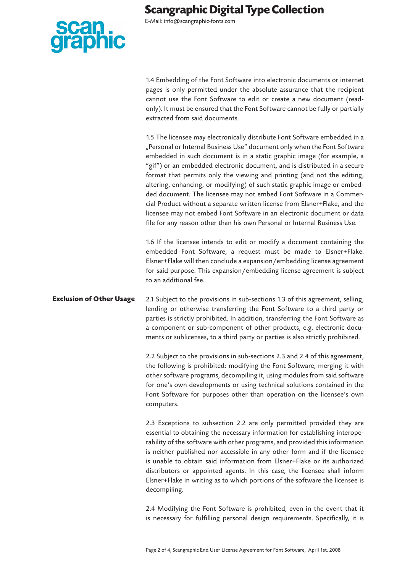

E-Mail: info@scangraphic-fonts.com

1.4 Embedding of the Font Software into electronic documents or internet pages is only permitted under the absolute assurance that the recipient cannot use the Font Software to edit or create a new document (readonly). It must be ensured that the Font Software cannot be fully or partially extracted from said documents.

1.5 The licensee may electronically distribute Font Software embedded in a "Personal or Internal Business Use" document only when the Font Software embedded in such document is in a static graphic image (for example, a "gif") or an embedded electronic document, and is distributed in a secure format that permits only the viewing and printing (and not the editing, altering, enhancing, or modifying) of such static graphic image or embedded document. The licensee may not embed Font Software in a Commercial Product without a separate written license from Elsner+Flake, and the licensee may not embed Font Software in an electronic document or data file for any reason other than his own Personal or Internal Business Use.

1.6 If the licensee intends to edit or modify a document containing the embedded Font Software, a request must be made to Elsner+Flake. Elsner+Flake will then conclude a expansion/embedding license agreement for said purpose. This expansion/embedding license agreement is subject to an additional fee.

**Exclusion of Other Usage** 2.1 Subject to the provisions in sub-sections 1.3 of this agreement, selling, lending or otherwise transferring the Font Software to a third party or parties is strictly prohibited. In addition, transferring the Font Software as a component or sub-component of other products, e.g. electronic documents or sublicenses, to a third party or parties is also strictly prohibited.

> 2.2 Subject to the provisions in sub-sections 2.3 and 2.4 of this agreement, the following is prohibited: modifying the Font Software, merging it with other software programs, decompiling it, using modules from said software for one's own developments or using technical solutions contained in the Font Software for purposes other than operation on the licensee's own computers.

> 2.3 Exceptions to subsection 2.2 are only permitted provided they are essential to obtaining the necessary information for establishing interoperability of the software with other programs, and provided this information is neither published nor accessible in any other form and if the licensee is unable to obtain said information from Elsner+Flake or its authorized distributors or appointed agents. In this case, the licensee shall inform Elsner+Flake in writing as to which portions of the software the licensee is decompiling.

> 2.4 Modifying the Font Software is prohibited, even in the event that it is necessary for fulfilling personal design requirements. Specifically, it is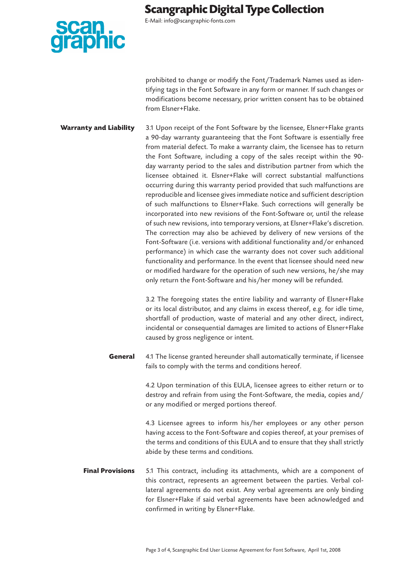E-Mail: info@scangraphic-fonts.com

prohibited to change or modify the Font/Trademark Names used as identifying tags in the Font Software in any form or manner. If such changes or modifications become necessary, prior written consent has to be obtained from Elsner+Flake.

**Warranty and Liability** 3.1 Upon receipt of the Font Software by the licensee, Elsner+Flake grants a 90-day warranty guaranteeing that the Font Software is essentially free from material defect. To make a warranty claim, the licensee has to return the Font Software, including a copy of the sales receipt within the 90 day warranty period to the sales and distribution partner from which the licensee obtained it. Elsner+Flake will correct substantial malfunctions occurring during this warranty period provided that such malfunctions are reproducible and licensee gives immediate notice and sufficient description of such malfunctions to Elsner+Flake. Such corrections will generally be incorporated into new revisions of the Font-Software or, until the release of such new revisions, into temporary versions, at Elsner+Flake's discretion. The correction may also be achieved by delivery of new versions of the Font-Software (i.e. versions with additional functionality and/or enhanced performance) in which case the warranty does not cover such additional functionality and performance. In the event that licensee should need new or modified hardware for the operation of such new versions, he/she may only return the Font-Software and his/her money will be refunded.

> 3.2 The foregoing states the entire liability and warranty of Elsner+Flake or its local distributor, and any claims in excess thereof, e.g. for idle time, shortfall of production, waste of material and any other direct, indirect, incidental or consequential damages are limited to actions of Elsner+Flake caused by gross negligence or intent.

**General** 4.1 The license granted hereunder shall automatically terminate, if licensee fails to comply with the terms and conditions hereof.

> 4.2 Upon termination of this EULA, licensee agrees to either return or to destroy and refrain from using the Font-Software, the media, copies and/ or any modified or merged portions thereof.

> 4.3 Licensee agrees to inform his/her employees or any other person having access to the Font-Software and copies thereof, at your premises of the terms and conditions of this EULA and to ensure that they shall strictly abide by these terms and conditions.

**Final Provisions** 5.1 This contract, including its attachments, which are a component of this contract, represents an agreement between the parties. Verbal collateral agreements do not exist. Any verbal agreements are only binding for Elsner+Flake if said verbal agreements have been acknowledged and confirmed in writing by Elsner+Flake.